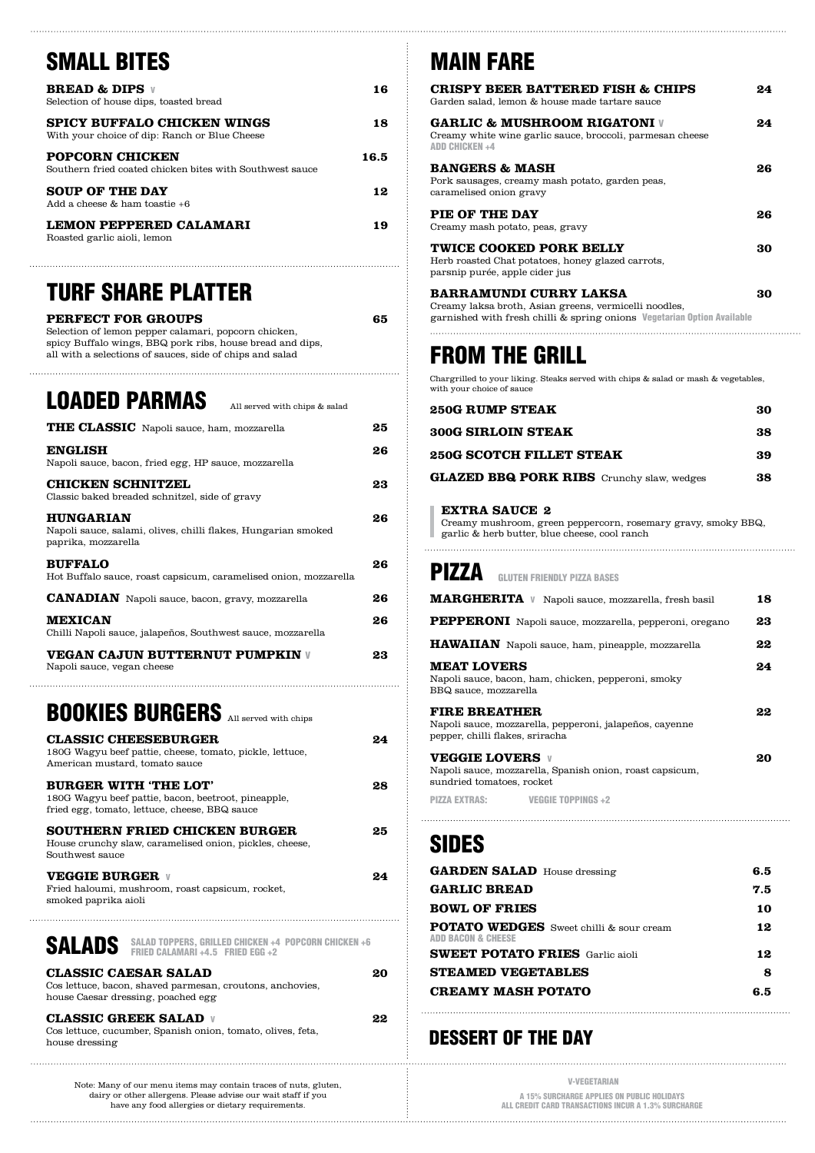# SMALL BITES

| <b>BREAD &amp; DIPS v</b><br>Selection of house dips, toasted bread                 | 16   |
|-------------------------------------------------------------------------------------|------|
| <b>SPICY BUFFALO CHICKEN WINGS</b><br>With your choice of dip: Ranch or Blue Cheese | 18   |
| <b>POPCORN CHICKEN</b><br>Southern fried coated chicken bites with Southwest sauce  | 16.5 |
| <b>SOUP OF THE DAY</b><br>Add a cheese & ham toastie +6                             | 12   |
| LEMON PEPPERED CALAMARI<br>Roasted garlic aioli, lemon                              | 19   |

### TURF SHARE PLATTER

| PERFECT FOR GROUPS                                        | 65 |
|-----------------------------------------------------------|----|
| Selection of lemon pepper calamari, popcorn chicken,      |    |
| spicy Buffalo wings, BBQ pork ribs, house bread and dips, |    |
| all with a selections of sauces, side of chips and salad  |    |
|                                                           |    |
|                                                           |    |

# LOADED PARMAS All served with chips & salad

| THE CLASSIC Napoli sauce, ham, mozzarella                                                                | 25 |
|----------------------------------------------------------------------------------------------------------|----|
| <b>ENGLISH</b><br>Napoli sauce, bacon, fried egg, HP sauce, mozzarella                                   | 26 |
| <b>CHICKEN SCHNITZEL</b><br>Classic baked breaded schnitzel, side of gravy                               | 23 |
| <b>HUNGARIAN</b><br>Napoli sauce, salami, olives, chilli flakes, Hungarian smoked<br>paprika, mozzarella | 26 |
| <b>BUFFALO</b><br>Hot Buffalo sauce, roast capsicum, caramelised onion, mozzarella                       | 26 |
| <b>CANADIAN</b> Napoli sauce, bacon, gravy, mozzarella                                                   | 26 |
| <b>MEXICAN</b><br>Chilli Napoli sauce, jalapeños, Southwest sauce, mozzarella                            | 26 |
| <b>VEGAN CAJUN BUTTERNUT PUMPKIN V</b>                                                                   | 23 |

## BOOKIES BURGERS All served with chips

Napoli sauce, vegan cheese

 $\ddotsc$ 

| <b>BURGER WITH 'THE LOT'</b><br>28<br>180G Wagyu beef pattie, bacon, beetroot, pineapple,<br>fried egg, tomato, lettuce, cheese, BBQ sauce |
|--------------------------------------------------------------------------------------------------------------------------------------------|
| SOUTHERN FRIED CHICKEN BURGER<br>25<br>House crunchy slaw, caramelised onion, pickles, cheese,<br>Southwest sauce                          |
| <b>VEGGIE BURGER V</b><br>94<br>Fried haloumi, mushroom, roast capsicum, rocket,<br>smoked paprika aioli                                   |
| <b>SALADS</b> SALAD TOPPERS, GRILLED CHICKEN +4 POPCORN CHICKEN +6                                                                         |
| <b>CLASSIC CAESAR SALAD</b><br>20<br>Cos lettuce, bacon, shaved parmesan, croutons, anchovies,<br>house Caesar dressing, poached egg       |
| <b>CLASSIC GREEK SALAD V</b><br>22<br>Cos lettuce, cucumber, Spanish onion, tomato, olives, feta,<br>house dressing                        |

#### Note: Many of our menu items may contain traces of nuts, gluten, dairy or other allergens. Please advise our wait staff if you have any food allergies or dietary requirements.

# MAIN FARE

| <b>CRISPY BEER BATTERED FISH &amp; CHIPS</b><br>Garden salad, lemon & house made tartare sauce                                                                    | 24 |
|-------------------------------------------------------------------------------------------------------------------------------------------------------------------|----|
| <b>GARLIC &amp; MUSHROOM RIGATONI V</b><br>Creamy white wine garlic sauce, broccoli, parmesan cheese<br><b>ADD CHICKEN +4</b>                                     | 24 |
| <b>BANGERS &amp; MASH</b><br>Pork sausages, creamy mash potato, garden peas,<br>caramelised onion gravy                                                           | 26 |
| PIE OF THE DAY<br>Creamy mash potato, peas, gravy                                                                                                                 | 26 |
| <b>TWICE COOKED PORK BELLY</b><br>Herb roasted Chat potatoes, honey glazed carrots,<br>parsnip purée, apple cider jus                                             | 30 |
| <b>BARRAMUNDI CURRY LAKSA</b><br>Creamy laksa broth, Asian greens, vermicelli noodles,<br>garnished with fresh chilli & spring onions Vegetarian Option Available | 30 |
|                                                                                                                                                                   |    |

# FROM THE GRILL

Chargrilled to your liking. Steaks served with chips & salad or mash & vegetables, with your choice of sauce

| <b>250G RUMP STEAK</b>                           | 30 |
|--------------------------------------------------|----|
| <b>300G SIRLOIN STEAK</b>                        | 38 |
| <b>250G SCOTCH FILLET STEAK</b>                  | 39 |
| <b>GLAZED BBQ PORK RIBS</b> Crunchy slaw, wedges | 38 |

#### **EXTRA SAUCE 2**

Creamy mushroom, green peppercorn, rosemary gravy, smoky BBQ, garlic & herb butter, blue cheese, cool ranch

| PIZZA<br><b>GLUTEN FRIENDLY PIZZA BASES</b>                                                                        |    |
|--------------------------------------------------------------------------------------------------------------------|----|
| <b>MARGHERITA</b> V Napoli sauce, mozzarella, fresh basil                                                          | 18 |
| PEPPERONI Napoli sauce, mozzarella, pepperoni, oregano                                                             | 23 |
| <b>HAWAIIAN</b> Napoli sauce, ham, pineapple, mozzarella                                                           | 22 |
| <b>MEAT LOVERS</b><br>Napoli sauce, bacon, ham, chicken, pepperoni, smoky<br>BBQ sauce, mozzarella                 | 24 |
| <b>FIRE BREATHER</b><br>Napoli sauce, mozzarella, pepperoni, jalapeños, cayenne<br>pepper, chilli flakes, sriracha | 22 |
| <b>VEGGIE LOVERS v</b><br>Napoli sauce, mozzarella, Spanish onion, roast capsicum,<br>sundried tomatoes, rocket    | 20 |
| <b>PIZZA EXTRAS:</b><br><b>VEGGIE TOPPINGS +2</b>                                                                  |    |

### SIDES

| <b>GARDEN SALAD</b> House dressing                                              | 6.5 |
|---------------------------------------------------------------------------------|-----|
| <b>GARLIC BREAD</b>                                                             | 7.5 |
| <b>BOWL OF FRIES</b>                                                            | 10  |
| <b>POTATO WEDGES</b> Sweet chilli & sour cream<br><b>ADD BACON &amp; CHEESE</b> | 12  |
| <b>SWEET POTATO FRIES</b> Garlic aioli                                          | 12  |
| <b>STEAMED VEGETABLES</b>                                                       | 8   |
| <b>CREAMY MASH POTATO</b>                                                       | 6.5 |

### DESSERT OF THE DAY

| <b>V-VEGETARIAN</b>                                                                               |
|---------------------------------------------------------------------------------------------------|
| A 15% SURCHARGE APPLIES ON PUBLIC HOLIDAYS<br>ALL CREDIT CARD TRANSACTIONS INCUR A 1.3% SURCHARGE |